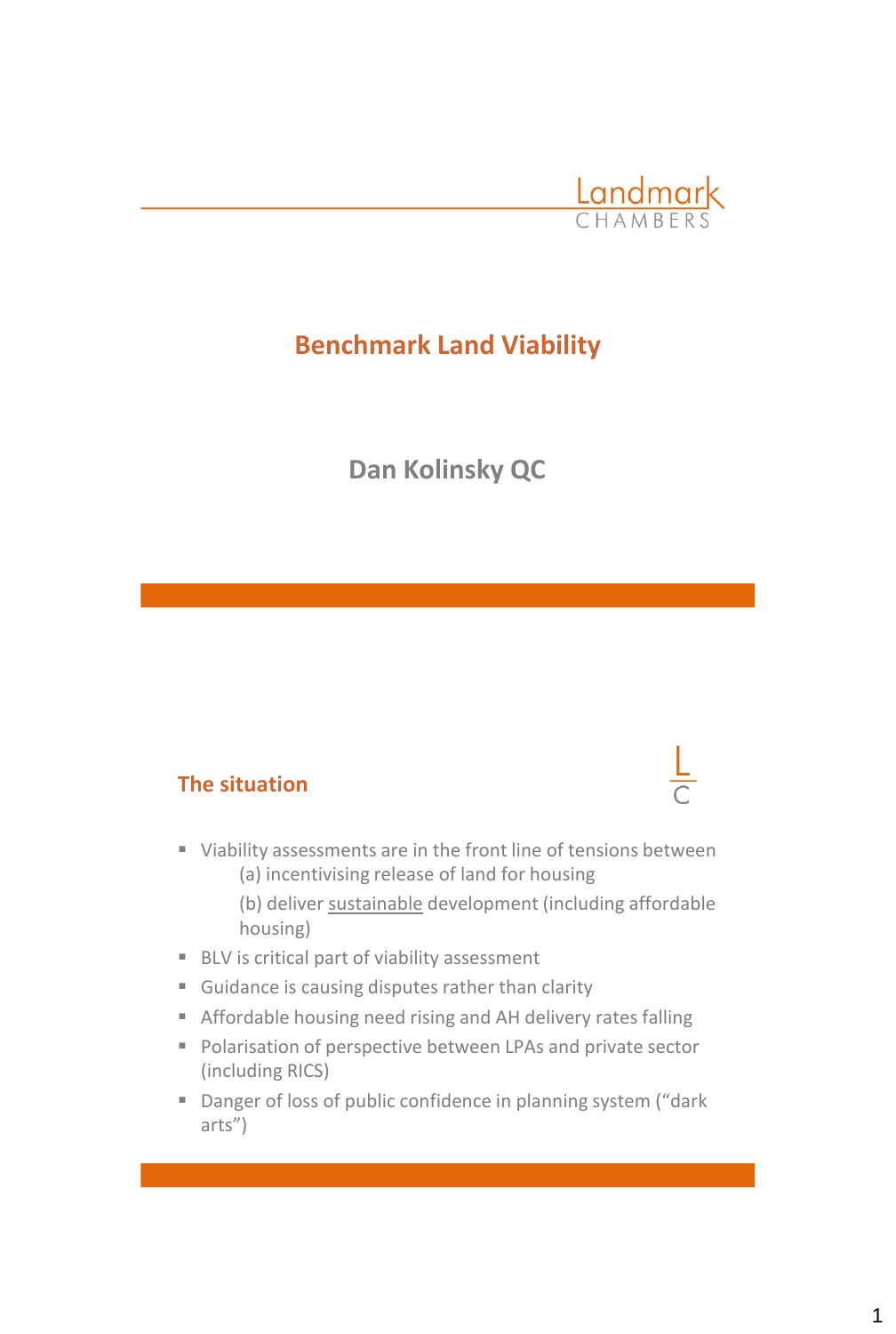

# **Benchmark Land Viability**

# **Dan Kolinsky QC**

#### **The situation**

- Viability assessments are in the front line of tensions between (a) incentivising release of land for housing
	- (b) deliver sustainable development (including affordable housing)
- BLV is critical part of viability assessment
- Guidance is causing disputes rather than clarity
- Affordable housing need rising and AH delivery rates falling
- Polarisation of perspective between LPAs and private sector (including RICS)
- Danger of loss of public confidence in planning system ("dark arts")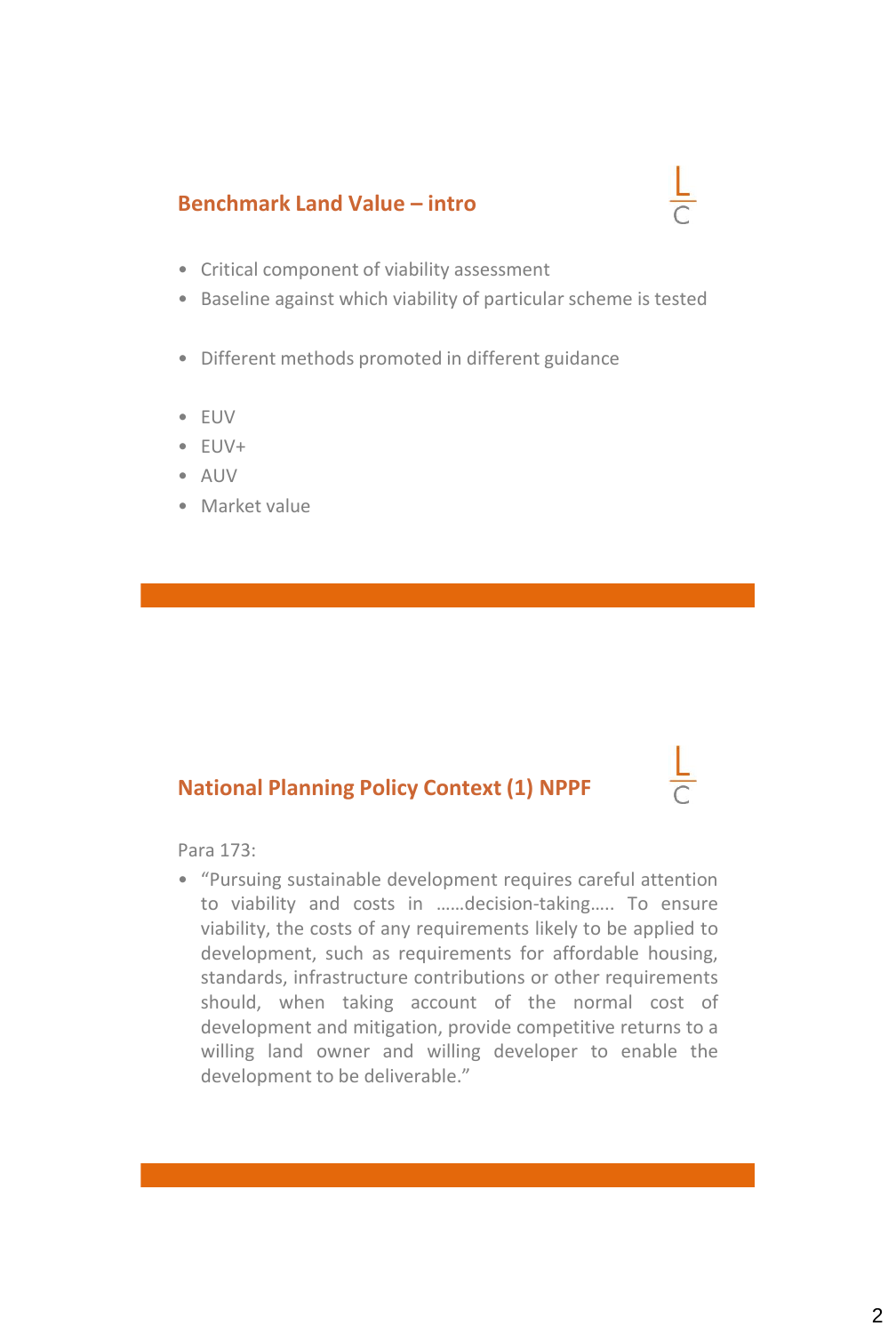#### **Benchmark Land Value – intro**



- Critical component of viability assessment
- Baseline against which viability of particular scheme is tested
- Different methods promoted in different guidance
- EUV
- EUV+
- AUV
- Market value

## **National Planning Policy Context (1) NPPF**

Para 173:

• "Pursuing sustainable development requires careful attention to viability and costs in ……decision-taking….. To ensure viability, the costs of any requirements likely to be applied to development, such as requirements for affordable housing, standards, infrastructure contributions or other requirements should, when taking account of the normal cost of development and mitigation, provide competitive returns to a willing land owner and willing developer to enable the development to be deliverable."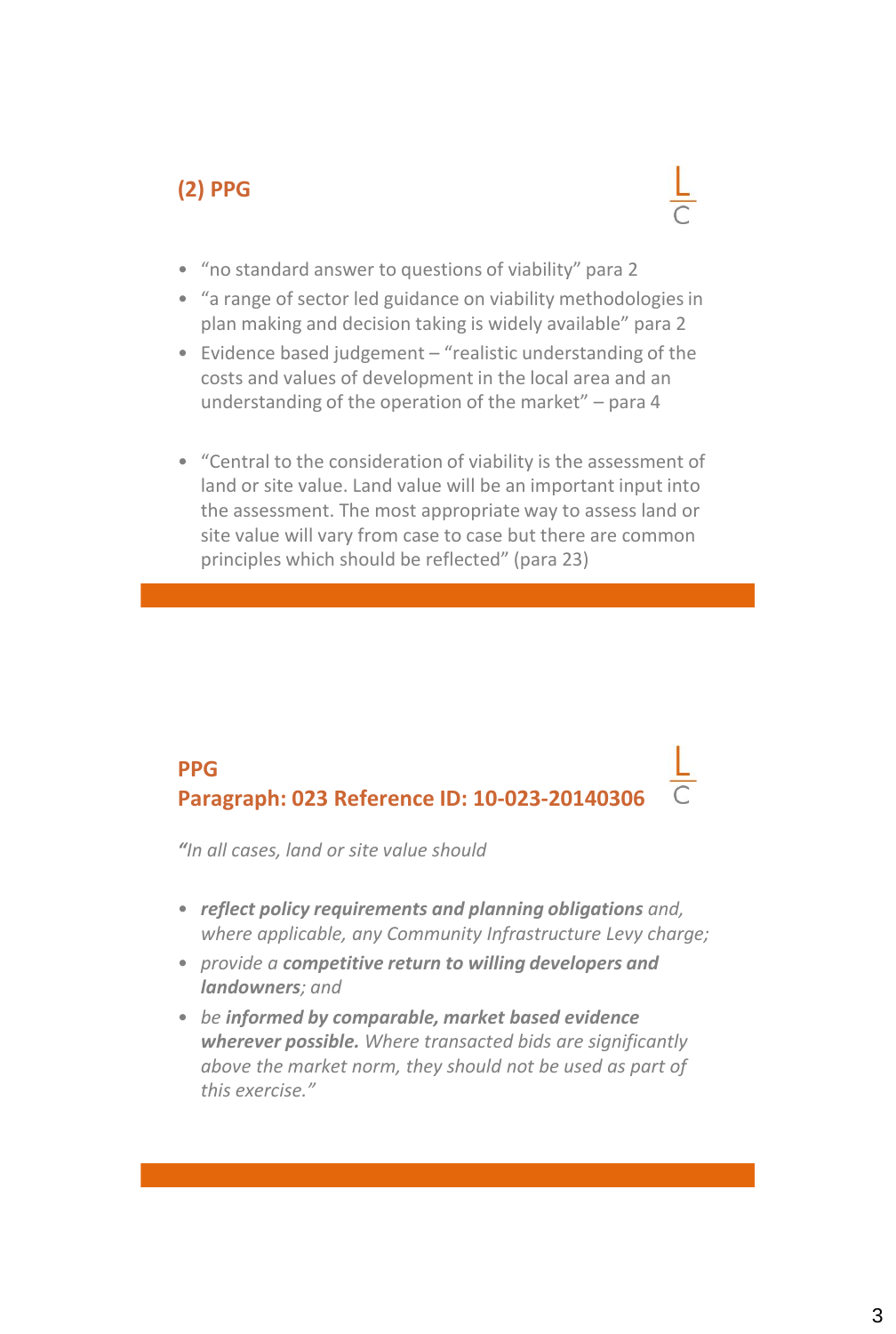## **(2) PPG**



- "no standard answer to questions of viability" para 2
- "a range of sector led guidance on viability methodologies in plan making and decision taking is widely available" para 2
- Evidence based judgement "realistic understanding of the costs and values of development in the local area and an understanding of the operation of the market" – para 4
- "Central to the consideration of viability is the assessment of land or site value. Land value will be an important input into the assessment. The most appropriate way to assess land or site value will vary from case to case but there are common principles which should be reflected" (para 23)

## **PPG Paragraph: 023 Reference ID: 10-023-20140306**

*"In all cases, land or site value should*

- *reflect policy requirements and planning obligations and, where applicable, any Community Infrastructure Levy charge;*
- *provide a competitive return to willing developers and landowners; and*
- *be informed by comparable, market based evidence wherever possible. Where transacted bids are significantly above the market norm, they should not be used as part of this exercise."*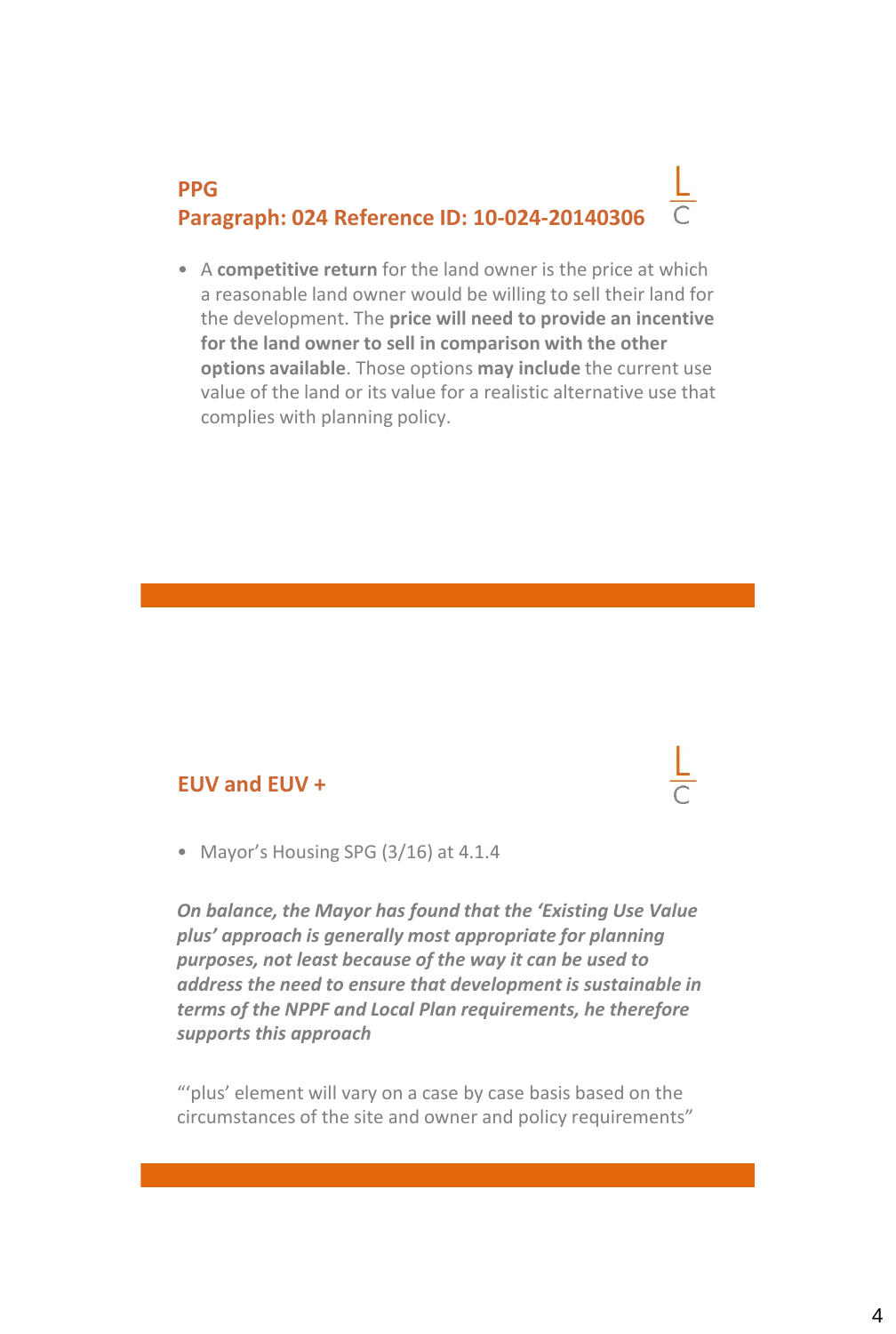# **PPG Paragraph: 024 Reference ID: 10-024-20140306**

• A **competitive return** for the land owner is the price at which a reasonable land owner would be willing to sell their land for the development. The **price will need to provide an incentive for the land owner to sell in comparison with the other options available**. Those options **may include** the current use value of the land or its value for a realistic alternative use that complies with planning policy.

#### **EUV and EUV +**

• Mayor's Housing SPG (3/16) at 4.1.4

*On balance, the Mayor has found that the 'Existing Use Value plus' approach is generally most appropriate for planning purposes, not least because of the way it can be used to address the need to ensure that development is sustainable in terms of the NPPF and Local Plan requirements, he therefore supports this approach*

"'plus' element will vary on a case by case basis based on the circumstances of the site and owner and policy requirements"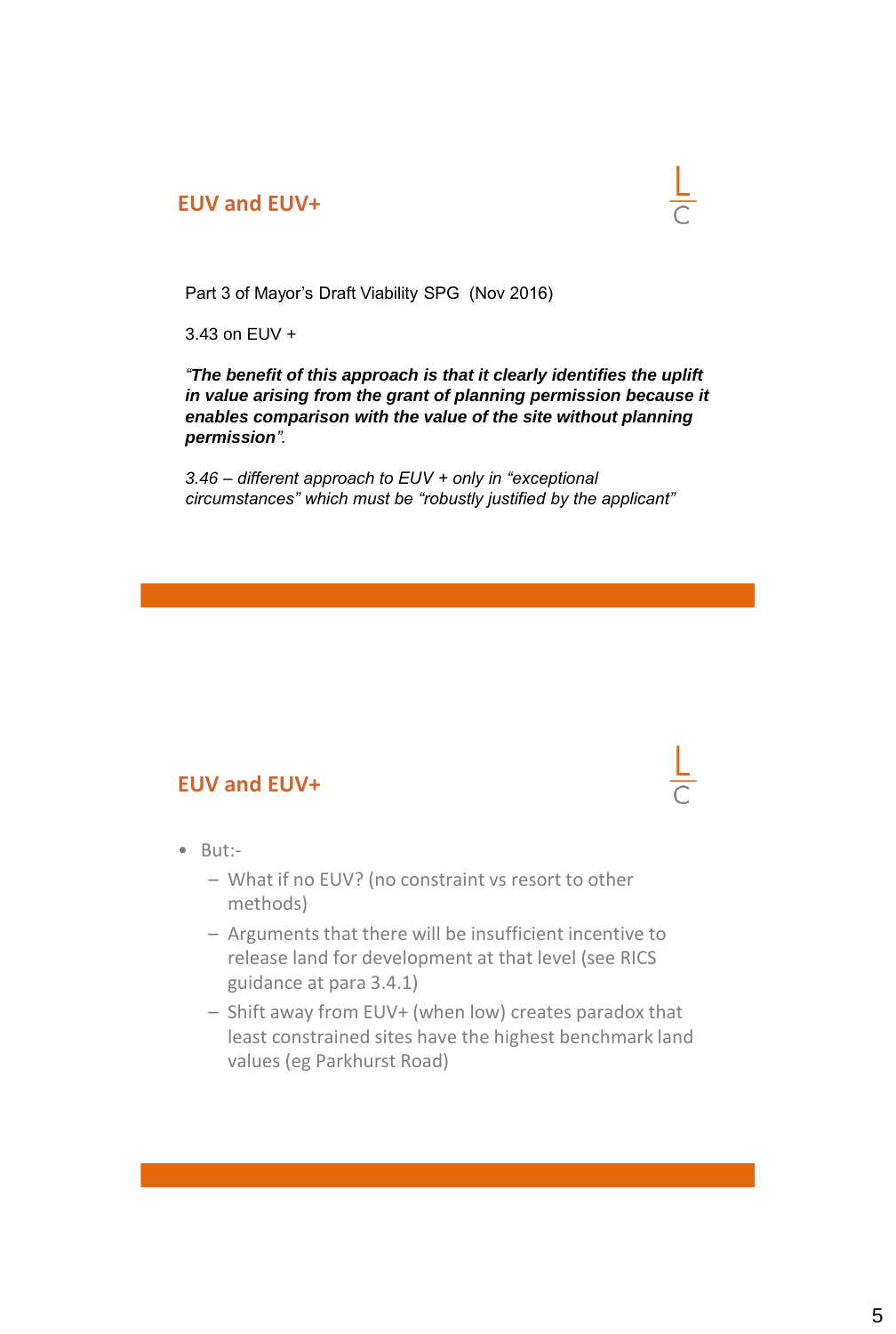#### **EUV and EUV+**



3.43 on EUV +

*"The benefit of this approach is that it clearly identifies the uplift in value arising from the grant of planning permission because it enables comparison with the value of the site without planning permission".*

*3.46 – different approach to EUV + only in "exceptional circumstances" which must be "robustly justified by the applicant"* 

#### **EUV and EUV+**

- But:-
	- What if no EUV? (no constraint vs resort to other methods)
	- Arguments that there will be insufficient incentive to release land for development at that level (see RICS guidance at para 3.4.1)
	- Shift away from EUV+ (when low) creates paradox that least constrained sites have the highest benchmark land values (eg Parkhurst Road)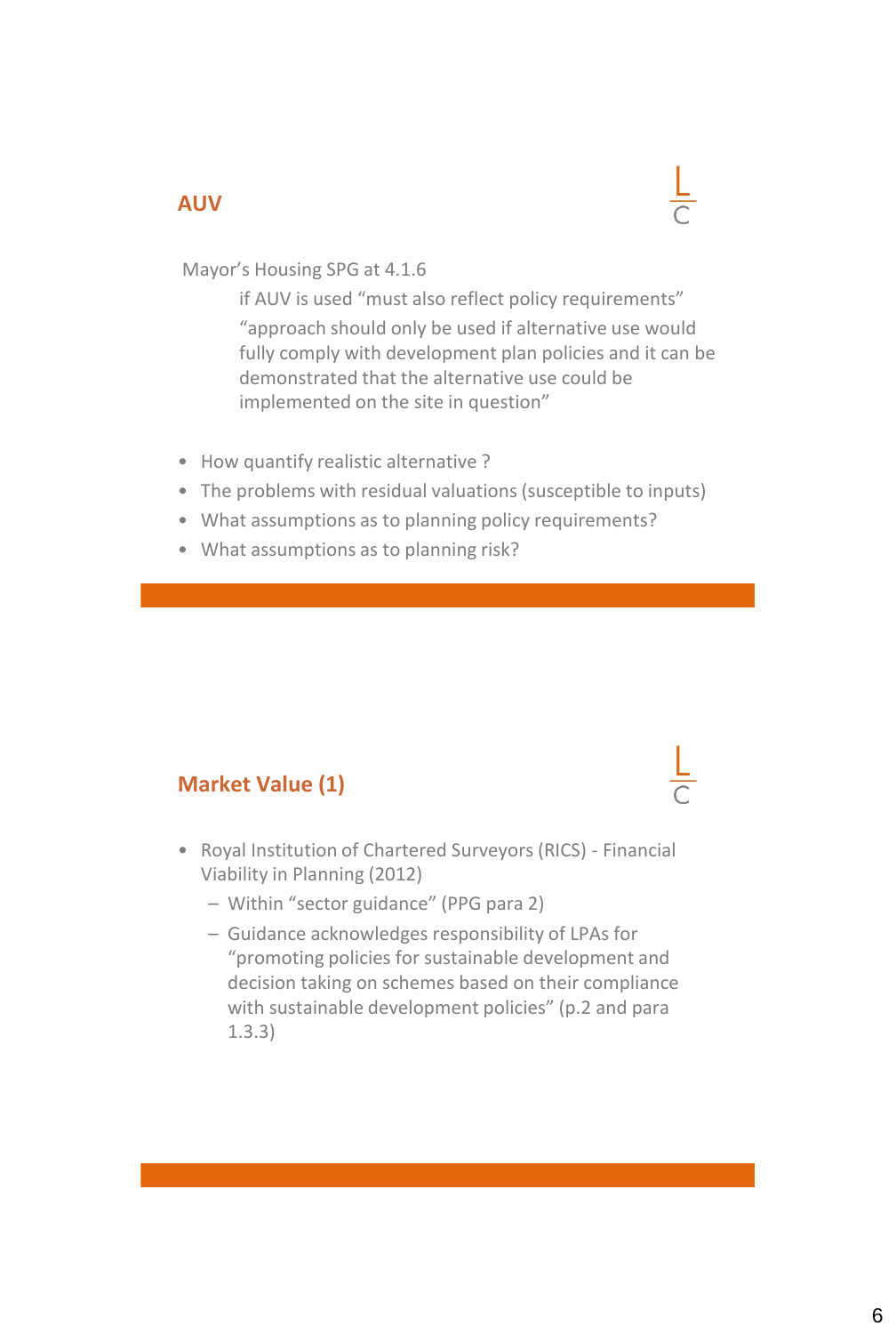#### **AUV**



Mayor's Housing SPG at 4.1.6

if AUV is used "must also reflect policy requirements" "approach should only be used if alternative use would fully comply with development plan policies and it can be demonstrated that the alternative use could be implemented on the site in question"

- How quantify realistic alternative ?
- The problems with residual valuations (susceptible to inputs)
- What assumptions as to planning policy requirements?
- What assumptions as to planning risk?

## **Market Value (1)**

- Royal Institution of Chartered Surveyors (RICS) Financial Viability in Planning (2012)
	- Within "sector guidance" (PPG para 2)
	- Guidance acknowledges responsibility of LPAs for "promoting policies for sustainable development and decision taking on schemes based on their compliance with sustainable development policies" (p.2 and para 1.3.3)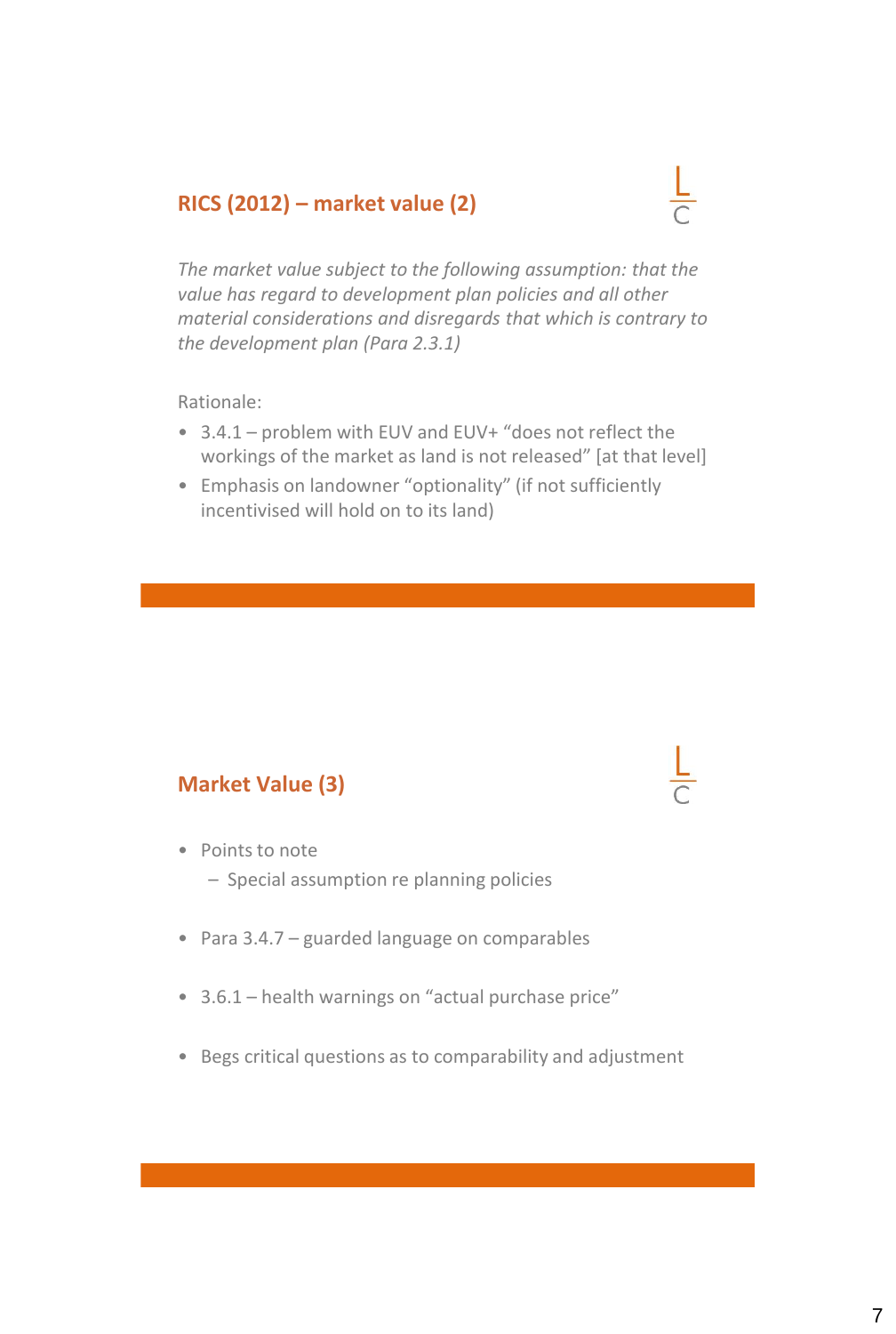#### **RICS (2012) – market value (2)**



*The market value subject to the following assumption: that the value has regard to development plan policies and all other material considerations and disregards that which is contrary to the development plan (Para 2.3.1)* 

Rationale:

- 3.4.1 problem with EUV and EUV+ "does not reflect the workings of the market as land is not released" [at that level]
- Emphasis on landowner "optionality" (if not sufficiently incentivised will hold on to its land)

#### **Market Value (3)**

- Points to note
	- Special assumption re planning policies
- Para 3.4.7 guarded language on comparables
- 3.6.1 health warnings on "actual purchase price"
- Begs critical questions as to comparability and adjustment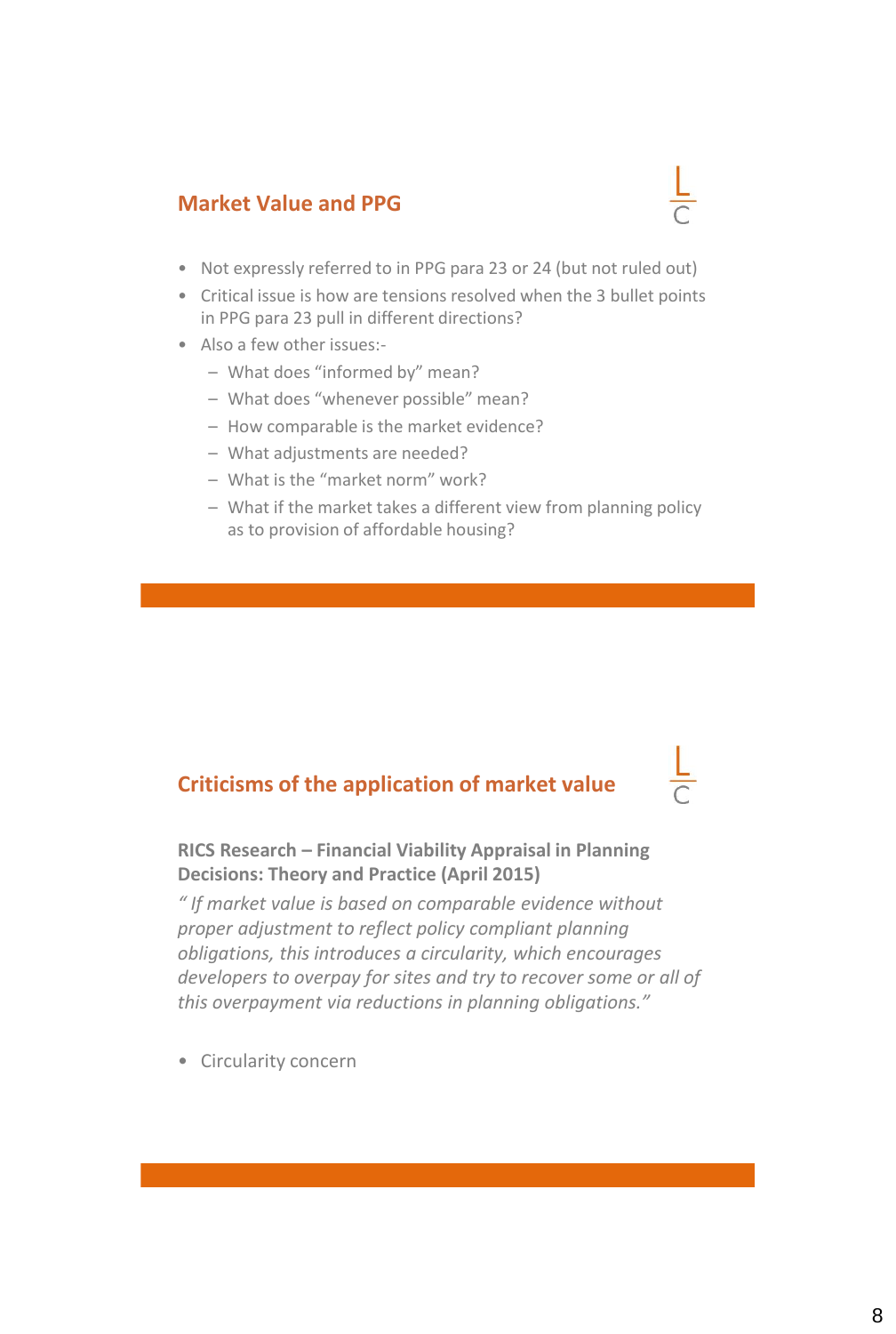#### **Market Value and PPG**

- Not expressly referred to in PPG para 23 or 24 (but not ruled out)
- Critical issue is how are tensions resolved when the 3 bullet points in PPG para 23 pull in different directions?
- Also a few other issues:-
	- What does "informed by" mean?
	- What does "whenever possible" mean?
	- How comparable is the market evidence?
	- What adjustments are needed?
	- What is the "market norm" work?
	- What if the market takes a different view from planning policy as to provision of affordable housing?

### **Criticisms of the application of market value**

**RICS Research – Financial Viability Appraisal in Planning Decisions: Theory and Practice (April 2015)**

*" If market value is based on comparable evidence without proper adjustment to reflect policy compliant planning obligations, this introduces a circularity, which encourages developers to overpay for sites and try to recover some or all of this overpayment via reductions in planning obligations."* 

• Circularity concern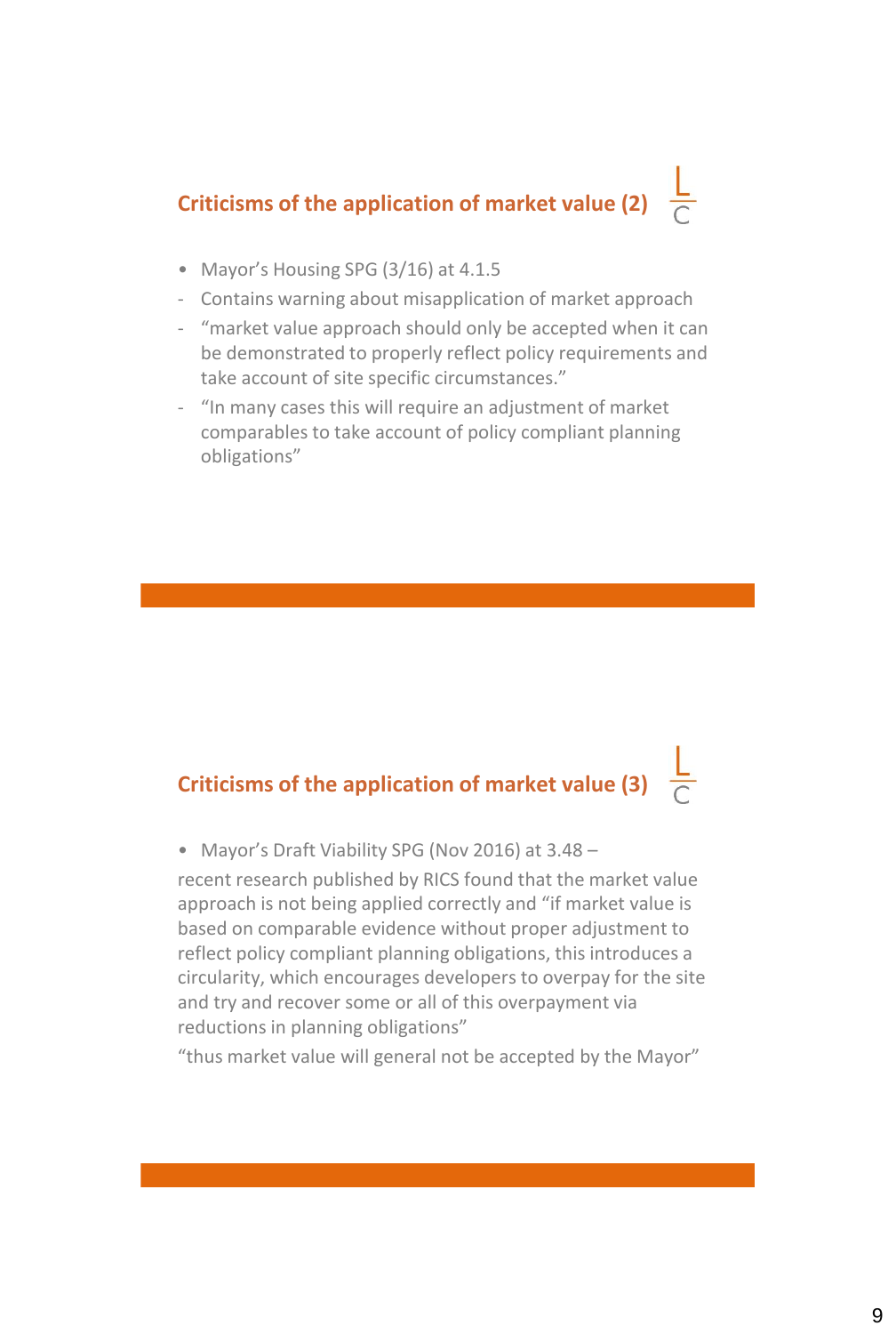# **Criticisms of the application of market value (2)**

- Mayor's Housing SPG (3/16) at 4.1.5
- Contains warning about misapplication of market approach
- "market value approach should only be accepted when it can be demonstrated to properly reflect policy requirements and take account of site specific circumstances."
- "In many cases this will require an adjustment of market comparables to take account of policy compliant planning obligations"

# **Criticisms of the application of market value (3)**

• Mayor's Draft Viability SPG (Nov 2016) at 3.48 –

recent research published by RICS found that the market value approach is not being applied correctly and "if market value is based on comparable evidence without proper adjustment to reflect policy compliant planning obligations, this introduces a circularity, which encourages developers to overpay for the site and try and recover some or all of this overpayment via reductions in planning obligations"

"thus market value will general not be accepted by the Mayor"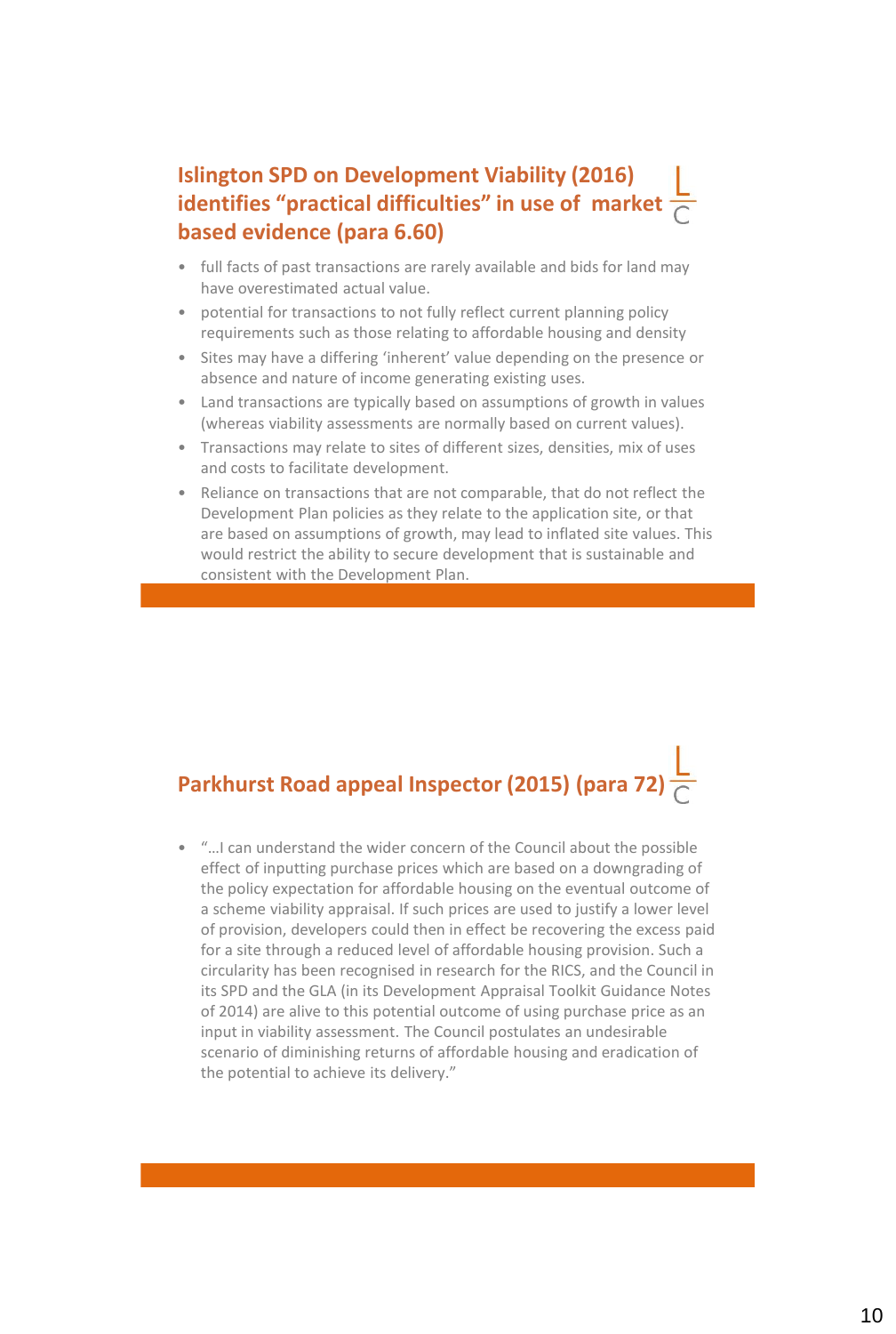## **Islington SPD on Development Viability (2016) identifies "practical difficulties" in use of market based evidence (para 6.60)**

- full facts of past transactions are rarely available and bids for land may have overestimated actual value.
- potential for transactions to not fully reflect current planning policy requirements such as those relating to affordable housing and density
- Sites may have a differing 'inherent' value depending on the presence or absence and nature of income generating existing uses.
- Land transactions are typically based on assumptions of growth in values (whereas viability assessments are normally based on current values).
- Transactions may relate to sites of different sizes, densities, mix of uses and costs to facilitate development.
- Reliance on transactions that are not comparable, that do not reflect the Development Plan policies as they relate to the application site, or that are based on assumptions of growth, may lead to inflated site values. This would restrict the ability to secure development that is sustainable and consistent with the Development Plan.

# **Parkhurst Road appeal Inspector (2015) (para 72)**

• "…I can understand the wider concern of the Council about the possible effect of inputting purchase prices which are based on a downgrading of the policy expectation for affordable housing on the eventual outcome of a scheme viability appraisal. If such prices are used to justify a lower level of provision, developers could then in effect be recovering the excess paid for a site through a reduced level of affordable housing provision. Such a circularity has been recognised in research for the RICS, and the Council in its SPD and the GLA (in its Development Appraisal Toolkit Guidance Notes of 2014) are alive to this potential outcome of using purchase price as an input in viability assessment. The Council postulates an undesirable scenario of diminishing returns of affordable housing and eradication of the potential to achieve its delivery."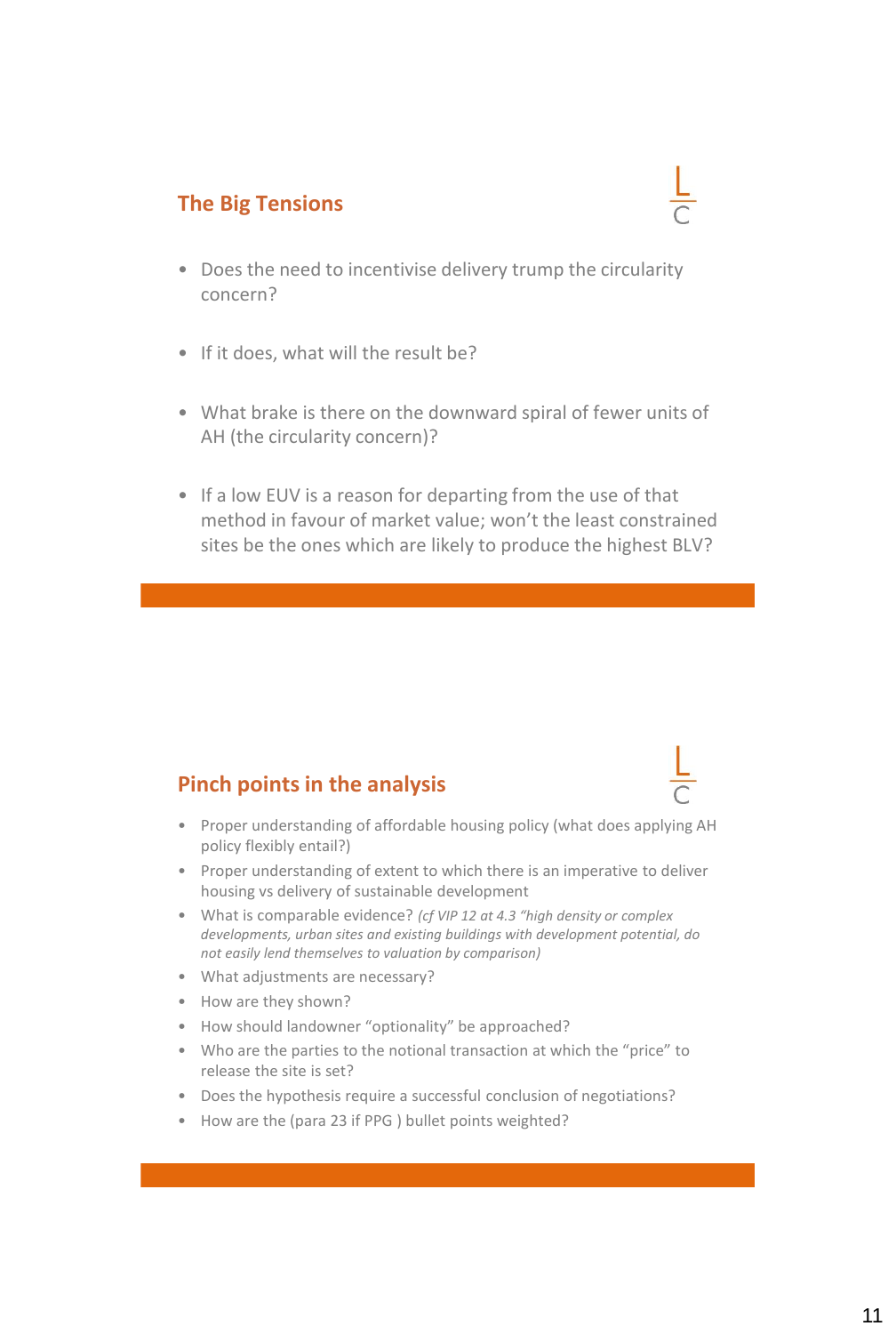### **The Big Tensions**

- Does the need to incentivise delivery trump the circularity concern?
- If it does, what will the result be?
- What brake is there on the downward spiral of fewer units of AH (the circularity concern)?
- If a low EUV is a reason for departing from the use of that method in favour of market value; won't the least constrained sites be the ones which are likely to produce the highest BLV?

#### **Pinch points in the analysis**

- Proper understanding of affordable housing policy (what does applying AH policy flexibly entail?)
- Proper understanding of extent to which there is an imperative to deliver housing vs delivery of sustainable development
- What is comparable evidence? *(cf VIP 12 at 4.3 "high density or complex developments, urban sites and existing buildings with development potential, do not easily lend themselves to valuation by comparison)*
- What adjustments are necessary?
- How are they shown?
- How should landowner "optionality" be approached?
- Who are the parties to the notional transaction at which the "price" to release the site is set?
- Does the hypothesis require a successful conclusion of negotiations?
- How are the (para 23 if PPG ) bullet points weighted?